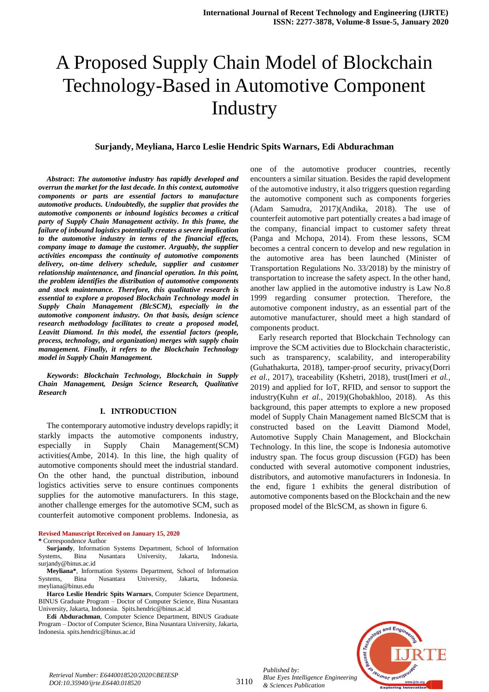# A Proposed Supply Chain Model of Blockchain Technology-Based in Automotive Component **Industry**

## **Surjandy, Meyliana, Harco Leslie Hendric Spits Warnars, Edi Abdurachman**

*Abstract***:** *The automotive industry has rapidly developed and overrun the market for the last decade. In this context, automotive components or parts are essential factors to manufacture automotive products. Undoubtedly, the supplier that provides the automotive components or inbound logistics becomes a critical party of Supply Chain Management activity. In this frame, the failure of inbound logistics potentially creates a severe implication to the automotive industry in terms of the financial effects, company image to damage the customer. Arguably, the supplier activities encompass the continuity of automotive components delivery, on-time delivery schedule, supplier and customer relationship maintenance, and financial operation. In this point, the problem identifies the distribution of automotive components and stock maintenance. Therefore, this qualitative research is essential to explore a proposed Blockchain Technology model in Supply Chain Management (BlcSCM), especially in the automotive component industry. On that basis, design science research methodology facilitates to create a proposed model, Leavitt Diamond. In this model, the essential factors (people, process, technology, and organization) merges with supply chain management. Finally, it refers to the Blockchain Technology model in Supply Chain Management.* 

*Keywords***:** *Blockchain Technology, Blockchain in Supply Chain Management, Design Science Research, Qualitative Research*

## **I. INTRODUCTION**

The contemporary automotive industry develops rapidly; it starkly impacts the automotive components industry, especially in Supply Chain Management(SCM) activities(Ambe, 2014). In this line, the high quality of automotive components should meet the industrial standard. On the other hand, the punctual distribution, inbound logistics activities serve to ensure continues components supplies for the automotive manufacturers. In this stage, another challenge emerges for the automotive SCM, such as counterfeit automotive component problems. Indonesia, as

## **Revised Manuscript Received on January 15, 2020**

#### **\*** Correspondence Author

**Surjandy**, Information Systems Department, School of Information Systems, Bina Nusantara University, Jakarta, Indonesia. surjandy@binus.ac.id

**Meyliana\***, Information Systems Department, School of Information Bina Nusantara University, Jakarta, Indonesia. meyliana@binus.edu

**Harco Leslie Hendric Spits Warnars**, Computer Science Department, BINUS Graduate Program – Doctor of Computer Science, Bina Nusantara University, Jakarta, Indonesia. Spits.hendric@binus.ac.id

**Edi Abdurachman**, Computer Science Department, BINUS Graduate Program – Doctor of Computer Science, Bina Nusantara University, Jakarta, Indonesia. spits.hendric@binus.ac.id

one of the automotive producer countries, recently encounters a similar situation. Besides the rapid development of the automotive industry, it also triggers question regarding the automotive component such as components forgeries (Adam Samudra, 2017)(Andika, 2018). The use of counterfeit automotive part potentially creates a bad image of the company, financial impact to customer safety threat (Panga and Mchopa, 2014). From these lessons, SCM becomes a central concern to develop and new regulation in the automotive area has been launched (Minister of Transportation Regulations No. 33/2018) by the ministry of transportation to increase the safety aspect. In the other hand, another law applied in the automotive industry is Law No.8 1999 regarding consumer protection. Therefore, the automotive component industry, as an essential part of the automotive manufacturer, should meet a high standard of components product.

Early research reported that Blockchain Technology can improve the SCM activities due to Blockchain characteristic, such as transparency, scalability, and interoperability (Guhathakurta, 2018), tamper-proof security, privacy(Dorri *et al.*, 2017), traceability (Kshetri, 2018), trust(Imeri *et al.*, 2019) and applied for IoT, RFID, and sensor to support the industry(Kuhn *et al.*, 2019)(Ghobakhloo, 2018). As this background, this paper attempts to explore a new proposed model of Supply Chain Management named BlcSCM that is constructed based on the Leavitt Diamond Model, Automotive Supply Chain Management, and Blockchain Technology. In this line, the scope is Indonesia automotive industry span. The focus group discussion (FGD) has been conducted with several automotive component industries, distributors, and automotive manufacturers in Indonesia. In the end, figure 1 exhibits the general distribution of automotive components based on the Blockchain and the new proposed model of the BlcSCM, as shown in figure 6.



*Retrieval Number: E6440018520/2020©BEIESP DOI:10.35940/ijrte.E6440.018520*

3110

*Blue Eyes Intelligence Engineering & Sciences Publication* 

*Published by:*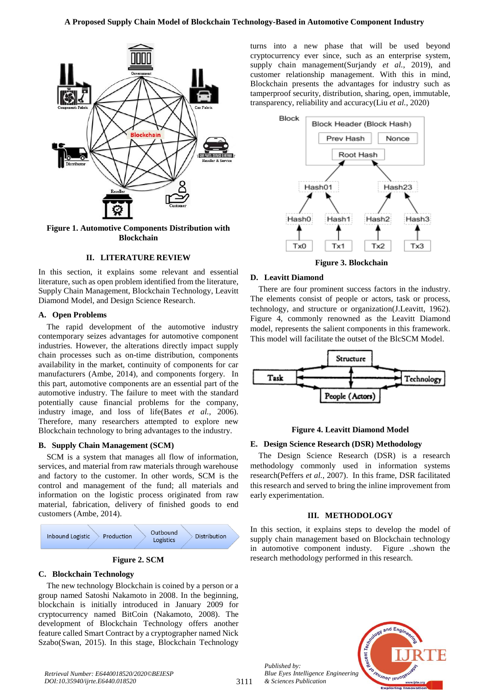

**Figure 1. Automotive Components Distribution with Blockchain**

## **II. LITERATURE REVIEW**

In this section, it explains some relevant and essential literature, such as open problem identified from the literature, Supply Chain Management, Blockchain Technology, Leavitt Diamond Model, and Design Science Research.

## **A. Open Problems**

The rapid development of the automotive industry contemporary seizes advantages for automotive component industries. However, the alterations directly impact supply chain processes such as on-time distribution, components availability in the market, continuity of components for car manufacturers (Ambe, 2014), and components forgery. In this part, automotive components are an essential part of the automotive industry. The failure to meet with the standard potentially cause financial problems for the company, industry image, and loss of life(Bates *et al.*, 2006). Therefore, many researchers attempted to explore new Blockchain technology to bring advantages to the industry.

## **B. Supply Chain Management (SCM)**

SCM is a system that manages all flow of information, services, and material from raw materials through warehouse and factory to the customer. In other words, SCM is the control and management of the fund; all materials and information on the logistic process originated from raw material, fabrication, delivery of finished goods to end customers (Ambe, 2014).



# **C. Blockchain Technology**

The new technology Blockchain is coined by a person or a group named Satoshi Nakamoto in 2008. In the beginning, blockchain is initially introduced in January 2009 for cryptocurrency named BitCoin (Nakamoto, 2008). The development of Blockchain Technology offers another feature called Smart Contract by a cryptographer named Nick Szabo(Swan, 2015). In this stage, Blockchain Technology

turns into a new phase that will be used beyond cryptocurrency ever since, such as an enterprise system, supply chain management(Surjandy *et al.*, 2019), and customer relationship management. With this in mind, Blockchain presents the advantages for industry such as tamperproof security, distribution, sharing, open, immutable, transparency, reliability and accuracy(Liu *et al.*, 2020)



**Figure 3. Blockchain** 

## **D. Leavitt Diamond**

There are four prominent success factors in the industry. The elements consist of people or actors, task or process, technology, and structure or organization(J.Leavitt, 1962). Figure 4, commonly renowned as the Leavitt Diamond model, represents the salient components in this framework. This model will facilitate the outset of the BlcSCM Model.



## **Figure 4. Leavitt Diamond Model**

## **E. Design Science Research (DSR) Methodology**

The Design Science Research (DSR) is a research methodology commonly used in information systems research(Peffers *et al.*, 2007). In this frame, DSR facilitated this research and served to bring the inline improvement from early experimentation.

### **III. METHODOLOGY**

In this section, it explains steps to develop the model of supply chain management based on Blockchain technology in automotive component industy. Figure ..shown the research methodology performed in this research.



*Published by: Blue Eyes Intelligence Engineering & Sciences Publication*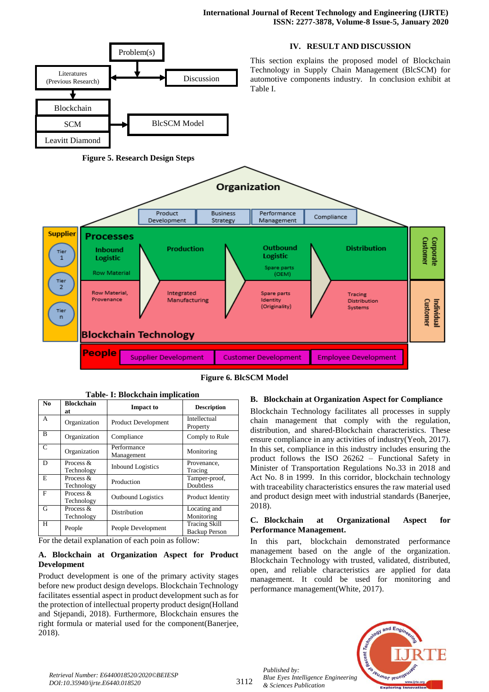

|  | <b>Figure 6. BlcSCM Model</b> |
|--|-------------------------------|
|--|-------------------------------|

| Table- 1: Blockchain implication |                         |                           |                                              |
|----------------------------------|-------------------------|---------------------------|----------------------------------------------|
| No.                              | <b>Blockchain</b><br>at | <b>Impact to</b>          | <b>Description</b>                           |
| A                                | Organization            | Product Development       | Intellectual<br>Property                     |
| B                                | Organization            | Compliance                | Comply to Rule                               |
| C                                | Organization            | Performance<br>Management | Monitoring                                   |
| D                                | Process &<br>Technology | <b>Inbound Logistics</b>  | Provenance,<br>Tracing                       |
| E                                | Process &<br>Technology | Production                | Tamper-proof,<br>Doubtless                   |
| F                                | Process &<br>Technology | <b>Outbound Logistics</b> | Product Identity                             |
| G                                | Process &<br>Technology | Distribution              | Locating and<br>Monitoring                   |
| H                                | People                  | People Development        | <b>Tracing Skill</b><br><b>Backup Person</b> |

**Table- I: Blockchain implication** 

For the detail explanation of each poin as follow:

# **A. Blockchain at Organization Aspect for Product Development**

Product development is one of the primary activity stages before new product design develops. Blockchain Technology facilitates essential aspect in product development such as for the protection of intellectual property product design(Holland and Stjepandi, 2018). Furthermore, Blockchain ensures the right formula or material used for the component(Banerjee, 2018).

# **B. Blockchain at Organization Aspect for Compliance**

Blockchain Technology facilitates all processes in supply chain management that comply with the regulation, distribution, and shared-Blockchain characteristics. These ensure compliance in any activities of industry(Yeoh, 2017). In this set, compliance in this industry includes ensuring the product follows the ISO 26262 – Functional Safety in Minister of Transportation Regulations No.33 in 2018 and Act No. 8 in 1999. In this corridor, blockchain technology with traceability characteristics ensures the raw material used and product design meet with industrial standards (Banerjee, 2018).

# **C. Blockchain at Organizational Aspect for Performance Management.**

In this part, blockchain demonstrated performance management based on the angle of the organization. Blockchain Technology with trusted, validated, distributed, open, and reliable characteristics are applied for data management. It could be used for monitoring and performance management(White, 2017).

*Published by: Blue Eyes Intelligence Engineering & Sciences Publication* 



*Retrieval Number: E6440018520/2020©BEIESP DOI:10.35940/ijrte.E6440.018520*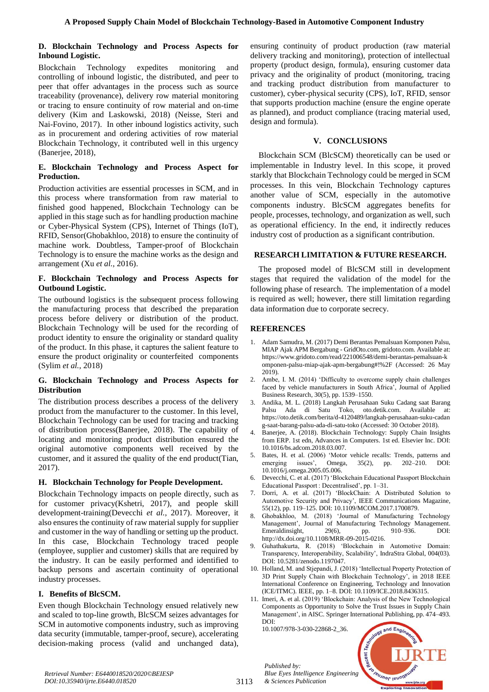## **D. Blockchain Technology and Process Aspects for Inbound Logistic.**

Blockchain Technology expedites monitoring and controlling of inbound logistic, the distributed, and peer to peer that offer advantages in the process such as source traceability (provenance), delivery row material monitoring or tracing to ensure continuity of row material and on-time delivery (Kim and Laskowski, 2018) (Neisse, Steri and Nai-Fovino, 2017). In other inbound logistics activity, such as in procurement and ordering activities of row material Blockchain Technology, it contributed well in this urgency (Banerjee, 2018),

# **E. Blockchain Technology and Process Aspect for Production.**

Production activities are essential processes in SCM, and in this process where transformation from raw material to finished good happened, Blockchain Technology can be applied in this stage such as for handling production machine or Cyber-Physical System (CPS), Internet of Things (IoT), RFID, Sensor(Ghobakhloo, 2018) to ensure the continuity of machine work. Doubtless, Tamper-proof of Blockchain Technology is to ensure the machine works as the design and arrangement (Xu *et al.*, 2016).

# **F. Blockchain Technology and Process Aspects for Outbound Logistic.**

The outbound logistics is the subsequent process following the manufacturing process that described the preparation process before delivery or distribution of the product. Blockchain Technology will be used for the recording of product identity to ensure the originality or standard quality of the product. In this phase, it captures the salient feature to ensure the product originality or counterfeited components (Sylim *et al.*, 2018)

# **G. Blockchain Technology and Process Aspects for Distribution**

The distribution process describes a process of the delivery product from the manufacturer to the customer. In this level, Blockchain Technology can be used for tracing and tracking of distribution process(Banerjee, 2018). The capability of locating and monitoring product distribution ensured the original automotive components well received by the customer, and it assured the quality of the end product(Tian, 2017).

# **H. Blockchain Technology for People Development.**

Blockchain Technology impacts on people directly, such as for customer privacy(Kshetri, 2017), and people skill development-training(Devecchi *et al.*, 2017). Moreover, it also ensures the continuity of raw material supply for supplier and customer in the way of handling or setting up the product. In this case, Blockchain Technology traced people (employee, supplier and customer) skills that are required by the industry. It can be easily performed and identified to backup persons and ascertain continuity of operational industry processes.

# **I. Benefits of BlcSCM.**

Even though Blockchain Technology ensued relatively new and scaled to top-line growth, BlcSCM seizes advantages for SCM in automotive components industry, such as improving data security (immutable, tamper-proof, secure), accelerating decision-making process (valid and unchanged data), ensuring continuity of product production (raw material delivery tracking and monitoring), protection of intellectual property (product design, formula), ensuring customer data privacy and the originality of product (monitoring, tracing and tracking product distribution from manufacturer to customer), cyber-physical security (CPS), IoT, RFID, sensor that supports production machine (ensure the engine operate as planned), and product compliance (tracing material used, design and formula).

# **V. CONCLUSIONS**

Blockchain SCM (BlcSCM) theoretically can be used or implementable in Industry level. In this scope, it proved starkly that Blockchain Technology could be merged in SCM processes. In this vein, Blockchain Technology captures another value of SCM, especially in the automotive components industry. BlcSCM aggregates benefits for people, processes, technology, and organization as well, such as operational efficiency. In the end, it indirectly reduces industry cost of production as a significant contribution.

# **RESEARCH LIMITATION & FUTURE RESEARCH.**

The proposed model of BlcSCM still in development stages that required the validation of the model for the following phase of research. The implementation of a model is required as well; however, there still limitation regarding data information due to corporate secrecy.

# **REFERENCES**

- 1. Adam Samudra, M. (2017) Demi Berantas Pemalsuan Komponen Palsu, MIAP Ajak APM Bergabung - GridOto.com, gridoto.com. Available at: https://www.gridoto.com/read/221006548/demi-berantas-pemalsuan-k omponen-palsu-miap-ajak-apm-bergabung#!%2F (Accessed: 26 May 2019).
- 2. Ambe, I. M. (2014) 'Difficulty to overcome supply chain challenges faced by vehicle manufacturers in South Africa', Journal of Applied Business Research, 30(5), pp. 1539–1550.
- 3. Andika, M. L. (2018) Langkah Perusahaan Suku Cadang saat Barang Palsu Ada di Satu Toko, oto.detik.com. Available https://oto.detik.com/berita/d-4120489/langkah-perusahaan-suku-cadan g-saat-barang-palsu-ada-di-satu-toko (Accessed: 30 October 2018).
- 4. Banerjee, A. (2018). Blockchain Technology: Supply Chain Insights from ERP. 1st edn, Advances in Computers. 1st ed. Elsevier Inc. DOI: 10.1016/bs.adcom.2018.03.007.
- 5. Bates, H. et al. (2006) 'Motor vehicle recalls: Trends, patterns and emerging issues', Omega, 35(2), pp. 202–210. DOI: 10.1016/j.omega.2005.05.006.
- 6. Devecchi, C. et al. (2017) 'Blockchain Educational Passport Blockchain Educational Passport : Decentralised', pp. 1–31.
- 7. Dorri, A. et al. (2017) 'BlockChain: A Distributed Solution to Automotive Security and Privacy', IEEE Communications Magazine, 55(12), pp. 119–125. DOI: 10.1109/MCOM.2017.1700879.
- 8. Ghobakhloo, M. (2018) 'Journal of Manufacturing Technology Management', Journal of Manufacturing Technology Management.<br>Emeraldinsight. 29(6). pp. 910–936. DOI: Emeraldinsight,  $29(6)$ , pp. http://dx.doi.org/10.1108/MRR-09-2015-0216.
- 9. Guhathakurta, R. (2018) 'Blockchain in Automotive Domain: Transparency, Interoperability, Scalability', IndraStra Global, 004(03). DOI: 10.5281/zenodo.1197047.
- 10. Holland, M. and Stjepandi, J. (2018) 'Intellectual Property Protection of 3D Print Supply Chain with Blockchain Technology', in 2018 IEEE International Conference on Engineering, Technology and Innovation (ICE/ITMC). IEEE, pp. 1–8. DOI: 10.1109/ICE.2018.8436315.
- 11. Imeri, A. et al. (2019) 'Blockchain: Analysis of the New Technological Components as Opportunity to Solve the Trust Issues in Supply Chain Management', in AISC. Springer International Publishing, pp. 474–493. DOI:

10.1007/978-3-030-22868-2\_36.

*Published by:*

*& Sciences Publication* 



*Retrieval Number: E6440018520/2020©BEIESP DOI:10.35940/ijrte.E6440.018520*